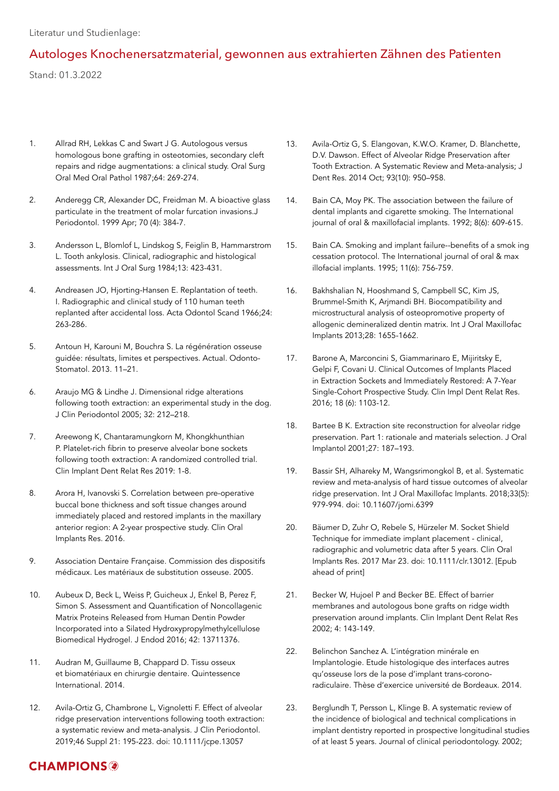Literatur und Studienlage:

#### Autologes Knochenersatzmaterial, gewonnen aus extrahierten Zähnen des Patienten

Stand: 01.3.2022

- 1. Allrad RH, Lekkas C and Swart J G. Autologous versus homologous bone grafting in osteotomies, secondary cleft repairs and ridge augmentations: a clinical study. Oral Surg Oral Med Oral Pathol 1987;64: 269-274.
- 2. Anderegg CR, Alexander DC, Freidman M. A bioactive glass particulate in the treatment of molar furcation invasions.J Periodontol. 1999 Apr; 70 (4): 384-7.
- 3. Andersson L, Blomlof L, Lindskog S, Feiglin B, Hammarstrom L. Tooth ankylosis. Clinical, radiographic and histological assessments. Int J Oral Surg 1984;13: 423-431.
- 4. Andreasen JO, Hjorting-Hansen E. Replantation of teeth. I. Radiographic and clinical study of 110 human teeth replanted after accidental loss. Acta Odontol Scand 1966;24: 263-286.
- 5. Antoun H, Karouni M, Bouchra S. La régénération osseuse guidée: résultats, limites et perspectives. Actual. Odonto-Stomatol. 2013. 11–21.
- 6. Araujo MG & Lindhe J. Dimensional ridge alterations following tooth extraction: an experimental study in the dog. J Clin Periodontol 2005; 32: 212–218.
- 7. Areewong K, Chantaramungkorn M, Khongkhunthian P. Platelet-rich fibrin to preserve alveolar bone sockets following tooth extraction: A randomized controlled trial. Clin Implant Dent Relat Res 2019: 1-8.
- 8. Arora H, Ivanovski S. Correlation between pre-operative buccal bone thickness and soft tissue changes around immediately placed and restored implants in the maxillary anterior region: A 2-year prospective study. Clin Oral Implants Res. 2016.
- 9. Association Dentaire Française. Commission des dispositifs médicaux. Les matériaux de substitution osseuse. 2005.
- 10. Aubeux D, Beck L, Weiss P, Guicheux J, Enkel B, Perez F, Simon S. Assessment and Quantification of Noncollagenic Matrix Proteins Released from Human Dentin Powder Incorporated into a Silated Hydroxypropylmethylcellulose Biomedical Hydrogel. J Endod 2016; 42: 13711376.
- 11. Audran M, Guillaume B, Chappard D. Tissu osseux et biomatériaux en chirurgie dentaire. Quintessence International. 2014.
- 12. Avila-Ortiz G, Chambrone L, Vignoletti F. Effect of alveolar ridge preservation interventions following tooth extraction: a systematic review and meta-analysis. J Clin Periodontol. 2019;46 Suppl 21: 195-223. doi: 10.1111/jcpe.13057
- 13. Avila-Ortiz G, S. Elangovan, K.W.O. Kramer, D. Blanchette, D.V. Dawson. Effect of Alveolar Ridge Preservation after Tooth Extraction. A Systematic Review and Meta-analysis; J Dent Res. 2014 Oct; 93(10): 950–958.
- 14. Bain CA, Moy PK. The association between the failure of dental implants and cigarette smoking. The International journal of oral & maxillofacial implants. 1992; 8(6): 609-615.
- 15. Bain CA. Smoking and implant failure--benefits of a smok ing cessation protocol. The International journal of oral & max illofacial implants. 1995; 11(6): 756-759.
- 16. Bakhshalian N, Hooshmand S, Campbell SC, Kim JS, Brummel-Smith K, Arjmandi BH. Biocompatibility and microstructural analysis of osteopromotive property of allogenic demineralized dentin matrix. Int J Oral Maxillofac Implants 2013;28: 1655-1662.
- 17. Barone A, Marconcini S, Giammarinaro E, Mijiritsky E, Gelpi F, Covani U. Clinical Outcomes of Implants Placed in Extraction Sockets and Immediately Restored: A 7-Year Single-Cohort Prospective Study. Clin Impl Dent Relat Res. 2016; 18 (6): 1103-12.
- 18. Bartee B K. Extraction site reconstruction for alveolar ridge preservation. Part 1: rationale and materials selection. J Oral Implantol 2001;27: 187–193.
- 19. Bassir SH, Alhareky M, Wangsrimongkol B, et al. Systematic review and meta-analysis of hard tissue outcomes of alveolar ridge preservation. Int J Oral Maxillofac Implants. 2018;33(5): 979-994. doi: 10.11607/jomi.6399
- 20. Bäumer D, Zuhr O, Rebele S, Hürzeler M. Socket Shield Technique for immediate implant placement - clinical, radiographic and volumetric data after 5 years. Clin Oral Implants Res. 2017 Mar 23. doi: 10.1111/clr.13012. [Epub ahead of print]
- 21. Becker W, Hujoel P and Becker BE. Effect of barrier membranes and autologous bone grafts on ridge width preservation around implants. Clin Implant Dent Relat Res 2002; 4: 143-149.
- 22. Belinchon Sanchez A. L'intégration minérale en Implantologie. Etude histologique des interfaces autres qu'osseuse lors de la pose d'implant trans-coronoradiculaire. Thèse d'exercice université de Bordeaux. 2014.
- 23. Berglundh T, Persson L, Klinge B. A systematic review of the incidence of biological and technical complications in implant dentistry reported in prospective longitudinal studies of at least 5 years. Journal of clinical periodontology. 2002;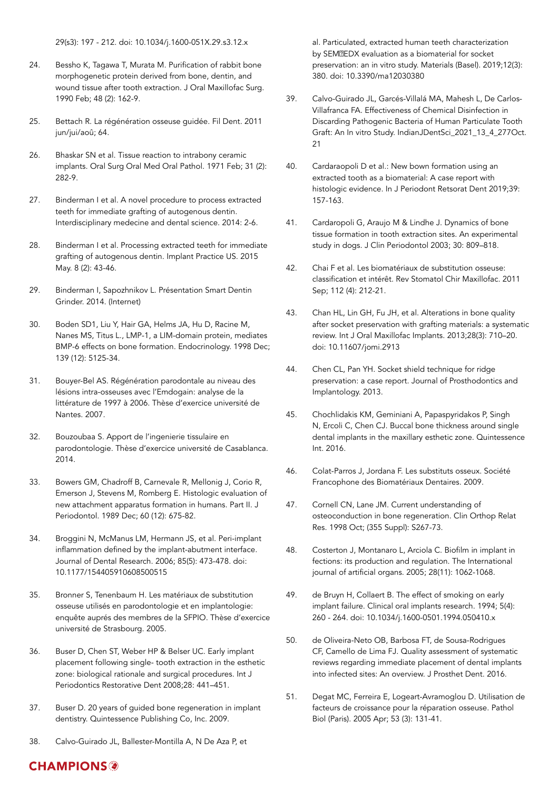- 24. Bessho K, Tagawa T, Murata M. Purification of rabbit bone morphogenetic protein derived from bone, dentin, and wound tissue after tooth extraction. J Oral Maxillofac Surg. 1990 Feb; 48 (2): 162-9.
- 25. Bettach R. La régénération osseuse guidée. Fil Dent. 2011 jun/jui/aoû; 64.
- 26. Bhaskar SN et al. Tissue reaction to intrabony ceramic implants. Oral Surg Oral Med Oral Pathol. 1971 Feb; 31 (2): 282-9.
- 27. Binderman I et al. A novel procedure to process extracted teeth for immediate grafting of autogenous dentin. Interdisciplinary medecine and dental science. 2014: 2-6.
- 28. Binderman I et al. Processing extracted teeth for immediate grafting of autogenous dentin. Implant Practice US. 2015 May. 8 (2): 43-46.
- 29. Binderman I, Sapozhnikov L. Présentation Smart Dentin Grinder. 2014. (Internet)
- 30. Boden SD1, Liu Y, Hair GA, Helms JA, Hu D, Racine M, Nanes MS, Titus L., LMP-1, a LIM-domain protein, mediates BMP-6 effects on bone formation. Endocrinology. 1998 Dec; 139 (12): 5125-34.
- 31. Bouyer-Bel AS. Régénération parodontale au niveau des lésions intra-osseuses avec l'Emdogain: analyse de la littérature de 1997 à 2006. Thèse d'exercice université de Nantes. 2007.
- 32. Bouzoubaa S. Apport de l'ingenierie tissulaire en parodontologie. Thèse d'exercice université de Casablanca. 2014.
- 33. Bowers GM, Chadroff B, Carnevale R, Mellonig J, Corio R, Emerson J, Stevens M, Romberg E. Histologic evaluation of new attachment apparatus formation in humans. Part II. J Periodontol. 1989 Dec; 60 (12): 675-82.
- 34. Broggini N, McManus LM, Hermann JS, et al. Peri-implant inflammation defined by the implant-abutment interface. Journal of Dental Research. 2006; 85(5): 473-478. doi: 10.1177/154405910608500515
- 35. Bronner S, Tenenbaum H. Les matériaux de substitution osseuse utilisés en parodontologie et en implantologie: enquête auprés des membres de la SFPIO. Thèse d'exercice université de Strasbourg. 2005.
- 36. Buser D, Chen ST, Weber HP & Belser UC. Early implant placement following single- tooth extraction in the esthetic zone: biological rationale and surgical procedures. Int J Periodontics Restorative Dent 2008;28: 441–451.
- 37. Buser D. 20 years of guided bone regeneration in implant dentistry. Quintessence Publishing Co, Inc. 2009.
- 38. Calvo-Guirado JL, Ballester-Montilla A, N De Aza P, et

al. Particulated, extracted human teeth characterization by SEM@EDX evaluation as a biomaterial for socket preservation: an in vitro study. Materials (Basel). 2019;12(3): 380. doi: 10.3390/ma12030380

- 39. Calvo-Guirado JL, Garcés-Villalá MA, Mahesh L, De Carlos-Villafranca FA. Effectiveness of Chemical Disinfection in Discarding Pathogenic Bacteria of Human Particulate Tooth Graft: An In vitro Study. IndianJDentSci\_2021\_13\_4\_277Oct. 21
- 40. Cardaraopoli D et al.: New bown formation using an extracted tooth as a biomaterial: A case report with histologic evidence. In J Periodont Retsorat Dent 2019;39: 157-163.
- 41. Cardaropoli G, Araujo M & Lindhe J. Dynamics of bone tissue formation in tooth extraction sites. An experimental study in dogs. J Clin Periodontol 2003; 30: 809–818.
- 42. Chai F et al. Les biomatériaux de substitution osseuse: classification et intérêt. Rev Stomatol Chir Maxillofac. 2011 Sep; 112 (4): 212-21.
- 43. Chan HL, Lin GH, Fu JH, et al. Alterations in bone quality after socket preservation with grafting materials: a systematic review. Int J Oral Maxillofac Implants. 2013;28(3): 710–20. doi: 10.11607/jomi.2913
- 44. Chen CL, Pan YH. Socket shield technique for ridge preservation: a case report. Journal of Prosthodontics and Implantology. 2013.
- 45. Chochlidakis KM, Geminiani A, Papaspyridakos P, Singh N, Ercoli C, Chen CJ. Buccal bone thickness around single dental implants in the maxillary esthetic zone. Quintessence Int. 2016.
- 46. Colat-Parros J, Jordana F. Les substituts osseux. Société Francophone des Biomatériaux Dentaires. 2009.
- 47. Cornell CN, Lane JM. Current understanding of osteoconduction in bone regeneration. Clin Orthop Relat Res. 1998 Oct; (355 Suppl): S267-73.
- 48. Costerton J, Montanaro L, Arciola C. Biofilm in implant in fections: its production and regulation. The International journal of artificial organs. 2005; 28(11): 1062-1068.
- 49. de Bruyn H, Collaert B. The effect of smoking on early implant failure. Clinical oral implants research. 1994; 5(4): 260 - 264. doi: 10.1034/j.1600-0501.1994.050410.x
- 50. de Oliveira-Neto OB, Barbosa FT, de Sousa-Rodrigues CF, Camello de Lima FJ. Quality assessment of systematic reviews regarding immediate placement of dental implants into infected sites: An overview. J Prosthet Dent. 2016.
- 51. Degat MC, Ferreira E, Logeart-Avramoglou D. Utilisation de facteurs de croissance pour la réparation osseuse. Pathol Biol (Paris). 2005 Apr; 53 (3): 131-41.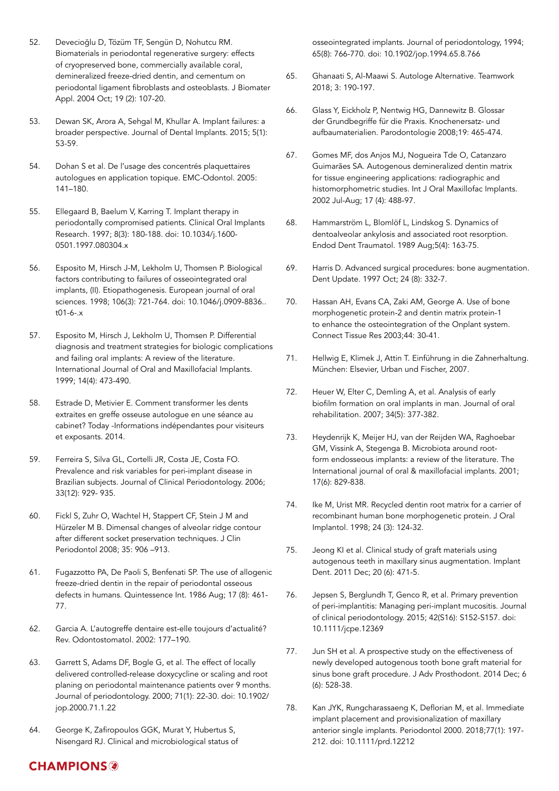- 52. Devecioğlu D, Tözüm TF, Sengün D, Nohutcu RM. Biomaterials in periodontal regenerative surgery: effects of cryopreserved bone, commercially available coral, demineralized freeze-dried dentin, and cementum on periodontal ligament fibroblasts and osteoblasts. J Biomater Appl. 2004 Oct; 19 (2): 107-20.
- 53. Dewan SK, Arora A, Sehgal M, Khullar A. Implant failures: a broader perspective. Journal of Dental Implants. 2015; 5(1): 53-59.
- 54. Dohan S et al. De l'usage des concentrés plaquettaires autologues en application topique. EMC-Odontol. 2005: 141–180.
- 55. Ellegaard B, Baelum V, Karring T. Implant therapy in periodontally compromised patients. Clinical Oral Implants Research. 1997; 8(3): 180-188. doi: 10.1034/j.1600- 0501.1997.080304.x
- 56. Esposito M, Hirsch J-M, Lekholm U, Thomsen P. Biological factors contributing to failures of osseointegrated oral implants, (II). Etiopathogenesis. European journal of oral sciences. 1998; 106(3): 721-764. doi: 10.1046/j.0909-8836.. t01-6-.x
- 57. Esposito M, Hirsch J, Lekholm U, Thomsen P. Differential diagnosis and treatment strategies for biologic complications and failing oral implants: A review of the literature. International Journal of Oral and Maxillofacial Implants. 1999; 14(4): 473-490.
- 58. Estrade D, Metivier E. Comment transformer les dents extraites en greffe osseuse autologue en une séance au cabinet? Today -Informations indépendantes pour visiteurs et exposants. 2014.
- 59. Ferreira S, Silva GL, Cortelli JR, Costa JE, Costa FO. Prevalence and risk variables for peri-implant disease in Brazilian subjects. Journal of Clinical Periodontology. 2006; 33(12): 929- 935.
- 60. Fickl S, Zuhr O, Wachtel H, Stappert CF, Stein J M and Hürzeler M B. Dimensal changes of alveolar ridge contour after different socket preservation techniques. J Clin Periodontol 2008; 35: 906 –913.
- 61. Fugazzotto PA, De Paoli S, Benfenati SP. The use of allogenic freeze-dried dentin in the repair of periodontal osseous defects in humans. Quintessence Int. 1986 Aug; 17 (8): 461- 77.
- 62. Garcia A. L'autogreffe dentaire est-elle toujours d'actualité? Rev. Odontostomatol. 2002: 177–190.
- 63. Garrett S, Adams DF, Bogle G, et al. The effect of locally delivered controlled-release doxycycline or scaling and root planing on periodontal maintenance patients over 9 months. Journal of periodontology. 2000; 71(1): 22-30. doi: 10.1902/ jop.2000.71.1.22
- 64. George K, Zafiropoulos GGK, Murat Y, Hubertus S, Nisengard RJ. Clinical and microbiological status of

osseointegrated implants. Journal of periodontology, 1994; 65(8): 766-770. doi: 10.1902/jop.1994.65.8.766

- 65. Ghanaati S, Al-Maawi S. Autologe Alternative. Teamwork 2018; 3: 190-197.
- 66. Glass Y, Eickholz P, Nentwig HG, Dannewitz B. Glossar der Grundbegriffe für die Praxis. Knochenersatz- und aufbaumaterialien. Parodontologie 2008;19: 465-474.
- 67. Gomes MF, dos Anjos MJ, Nogueira Tde O, Catanzaro Guimarães SA. Autogenous demineralized dentin matrix for tissue engineering applications: radiographic and histomorphometric studies. Int J Oral Maxillofac Implants. 2002 Jul-Aug; 17 (4): 488-97.
- 68. Hammarström L, Blomlöf L, Lindskog S. Dynamics of dentoalveolar ankylosis and associated root resorption. Endod Dent Traumatol. 1989 Aug;5(4): 163-75.
- 69. Harris D. Advanced surgical procedures: bone augmentation. Dent Update. 1997 Oct; 24 (8): 332-7.
- 70. Hassan AH, Evans CA, Zaki AM, George A. Use of bone morphogenetic protein-2 and dentin matrix protein-1 to enhance the osteointegration of the Onplant system. Connect Tissue Res 2003;44: 30-41.
- 71. Hellwig E, Klimek J, Attin T. Einführung in die Zahnerhaltung. München: Elsevier, Urban und Fischer, 2007.
- 72. Heuer W, Elter C, Demling A, et al. Analysis of early biofilm formation on oral implants in man. Journal of oral rehabilitation. 2007; 34(5): 377-382.
- 73. Heydenrijk K, Meijer HJ, van der Reijden WA, Raghoebar GM, Vissink A, Stegenga B. Microbiota around rootform endosseous implants: a review of the literature. The International journal of oral & maxillofacial implants. 2001; 17(6): 829-838.
- 74. Ike M, Urist MR. Recycled dentin root matrix for a carrier of recombinant human bone morphogenetic protein. J Oral Implantol. 1998; 24 (3): 124-32.
- 75. Jeong KI et al. Clinical study of graft materials using autogenous teeth in maxillary sinus augmentation. Implant Dent. 2011 Dec; 20 (6): 471-5.
- 76. Jepsen S, Berglundh T, Genco R, et al. Primary prevention of peri-implantitis: Managing peri-implant mucositis. Journal of clinical periodontology. 2015; 42(S16): S152-S157. doi: 10.1111/jcpe.12369
- 77. Jun SH et al. A prospective study on the effectiveness of newly developed autogenous tooth bone graft material for sinus bone graft procedure. J Adv Prosthodont. 2014 Dec; 6 (6): 528-38.
- 78. Kan JYK, Rungcharassaeng K, Deflorian M, et al. Immediate implant placement and provisionalization of maxillary anterior single implants. Periodontol 2000. 2018;77(1): 197- 212. doi: 10.1111/prd.12212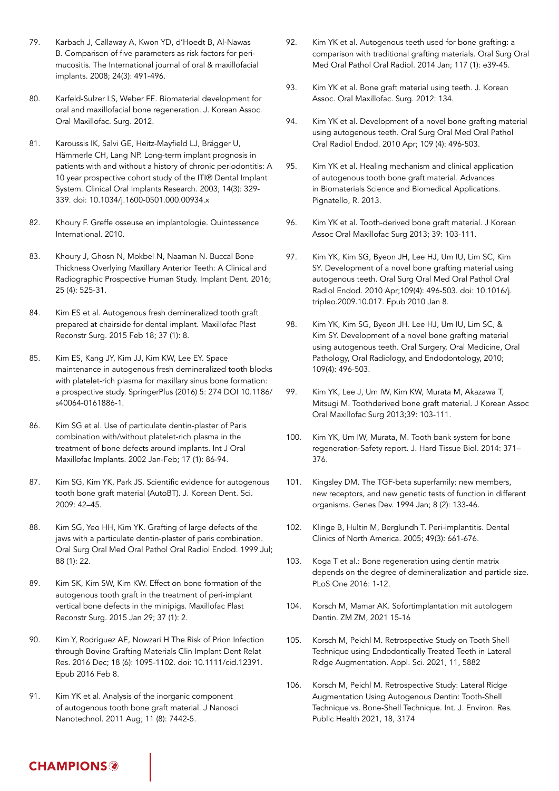- 79. Karbach J, Callaway A, Kwon YD, d'Hoedt B, Al-Nawas B. Comparison of five parameters as risk factors for perimucositis. The International journal of oral & maxillofacial implants. 2008; 24(3): 491-496.
- 80. Karfeld-Sulzer LS, Weber FE. Biomaterial development for oral and maxillofacial bone regeneration. J. Korean Assoc. Oral Maxillofac. Surg. 2012.
- 81. Karoussis IK, Salvi GE, Heitz-Mayfield LJ, Brägger U, Hämmerle CH, Lang NP. Long-term implant prognosis in patients with and without a history of chronic periodontitis: A 10 year prospective cohort study of the ITI® Dental Implant System. Clinical Oral Implants Research. 2003; 14(3): 329- 339. doi: 10.1034/j.1600-0501.000.00934.x
- 82. Khoury F. Greffe osseuse en implantologie. Quintessence International. 2010.
- 83. Khoury J, Ghosn N, Mokbel N, Naaman N. Buccal Bone Thickness Overlying Maxillary Anterior Teeth: A Clinical and Radiographic Prospective Human Study. Implant Dent. 2016; 25 (4): 525-31.
- 84. Kim ES et al. Autogenous fresh demineralized tooth graft prepared at chairside for dental implant. Maxillofac Plast Reconstr Surg. 2015 Feb 18; 37 (1): 8.
- 85. Kim ES, Kang JY, Kim JJ, Kim KW, Lee EY. Space maintenance in autogenous fresh demineralized tooth blocks with platelet-rich plasma for maxillary sinus bone formation: a prospective study. SpringerPlus (2016) 5: 274 DOI 10.1186/ s40064-0161886-1.
- 86. Kim SG et al. Use of particulate dentin-plaster of Paris combination with/without platelet-rich plasma in the treatment of bone defects around implants. Int J Oral Maxillofac Implants. 2002 Jan-Feb; 17 (1): 86-94.
- 87. Kim SG, Kim YK, Park JS. Scientific evidence for autogenous tooth bone graft material (AutoBT). J. Korean Dent. Sci. 2009: 42–45.
- 88. Kim SG, Yeo HH, Kim YK. Grafting of large defects of the jaws with a particulate dentin-plaster of paris combination. Oral Surg Oral Med Oral Pathol Oral Radiol Endod. 1999 Jul; 88 (1): 22.
- 89. Kim SK, Kim SW, Kim KW. Effect on bone formation of the autogenous tooth graft in the treatment of peri-implant vertical bone defects in the minipigs. Maxillofac Plast Reconstr Surg. 2015 Jan 29; 37 (1): 2.
- 90. Kim Y, Rodriguez AE, Nowzari H The Risk of Prion Infection through Bovine Grafting Materials Clin Implant Dent Relat Res. 2016 Dec; 18 (6): 1095-1102. doi: 10.1111/cid.12391. Epub 2016 Feb 8.
- 91. Kim YK et al. Analysis of the inorganic component of autogenous tooth bone graft material. J Nanosci Nanotechnol. 2011 Aug; 11 (8): 7442-5.
- 92. Kim YK et al. Autogenous teeth used for bone grafting: a comparison with traditional grafting materials. Oral Surg Oral Med Oral Pathol Oral Radiol. 2014 Jan; 117 (1): e39-45.
- 93. Kim YK et al. Bone graft material using teeth. J. Korean Assoc. Oral Maxillofac. Surg. 2012: 134.
- 94. Kim YK et al. Development of a novel bone grafting material using autogenous teeth. Oral Surg Oral Med Oral Pathol Oral Radiol Endod. 2010 Apr; 109 (4): 496-503.
- 95. Kim YK et al. Healing mechanism and clinical application of autogenous tooth bone graft material. Advances in Biomaterials Science and Biomedical Applications. Pignatello, R. 2013.
- 96. Kim YK et al. Tooth-derived bone graft material. J Korean Assoc Oral Maxillofac Surg 2013; 39: 103-111.
- 97. Kim YK, Kim SG, Byeon JH, Lee HJ, Um IU, Lim SC, Kim SY. Development of a novel bone grafting material using autogenous teeth. Oral Surg Oral Med Oral Pathol Oral Radiol Endod. 2010 Apr;109(4): 496-503. doi: 10.1016/j. tripleo.2009.10.017. Epub 2010 Jan 8.
- 98. Kim YK, Kim SG, Byeon JH. Lee HJ, Um IU, Lim SC, & Kim SY. Development of a novel bone grafting material using autogenous teeth. Oral Surgery, Oral Medicine, Oral Pathology, Oral Radiology, and Endodontology, 2010; 109(4): 496-503.
- 99. Kim YK, Lee J, Um IW, Kim KW, Murata M, Akazawa T, Mitsugi M. Toothderived bone graft material. J Korean Assoc Oral Maxillofac Surg 2013;39: 103-111.
- 100. Kim YK, Um IW, Murata, M. Tooth bank system for bone regeneration-Safety report. J. Hard Tissue Biol. 2014: 371– 376.
- 101. Kingsley DM. The TGF-beta superfamily: new members, new receptors, and new genetic tests of function in different organisms. Genes Dev. 1994 Jan; 8 (2): 133-46.
- 102. Klinge B, Hultin M, Berglundh T. Peri-implantitis. Dental Clinics of North America. 2005; 49(3): 661-676.
- 103. Koga T et al.: Bone regeneration using dentin matrix depends on the degree of demineralization and particle size. PLoS One 2016: 1-12.
- 104. Korsch M, Mamar AK. Sofortimplantation mit autologem Dentin. ZM ZM, 2021 15-16
- 105. Korsch M, Peichl M. Retrospective Study on Tooth Shell Technique using Endodontically Treated Teeth in Lateral Ridge Augmentation. Appl. Sci. 2021, 11, 5882
- 106. Korsch M, Peichl M. Retrospective Study: Lateral Ridge Augmentation Using Autogenous Dentin: Tooth-Shell Technique vs. Bone-Shell Technique. Int. J. Environ. Res. Public Health 2021, 18, 3174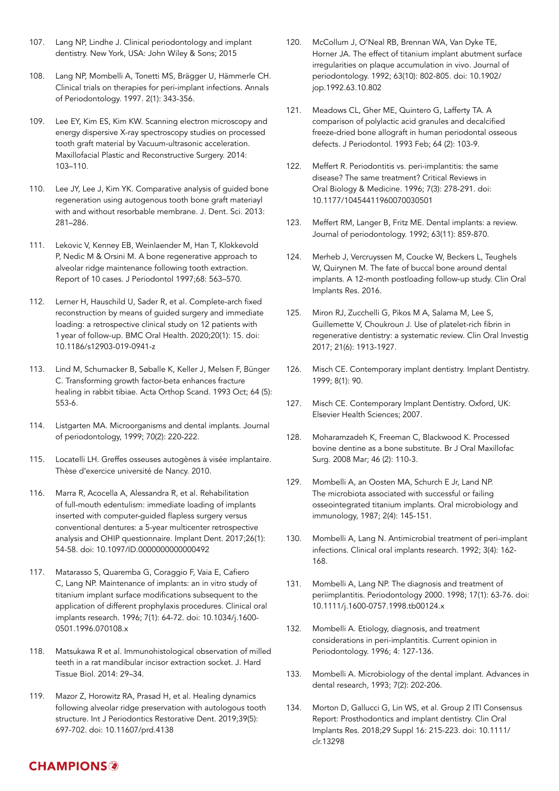- 107. Lang NP, Lindhe J. Clinical periodontology and implant dentistry. New York, USA: John Wiley & Sons; 2015
- 108. Lang NP, Mombelli A, Tonetti MS, Brägger U, Hämmerle CH. Clinical trials on therapies for peri-implant infections. Annals of Periodontology. 1997. 2(1): 343-356.
- 109. Lee EY, Kim ES, Kim KW. Scanning electron microscopy and energy dispersive X-ray spectroscopy studies on processed tooth graft material by Vacuum-ultrasonic acceleration. Maxillofacial Plastic and Reconstructive Surgery. 2014: 103–110.
- 110. Lee JY, Lee J, Kim YK. Comparative analysis of guided bone regeneration using autogenous tooth bone graft materiayl with and without resorbable membrane. J. Dent. Sci. 2013: 281–286.
- 111. Lekovic V, Kenney EB, Weinlaender M, Han T, Klokkevold P, Nedic M & Orsini M. A bone regenerative approach to alveolar ridge maintenance following tooth extraction. Report of 10 cases. J Periodontol 1997;68: 563–570.
- 112. Lerner H, Hauschild U, Sader R, et al. Complete-arch fixed reconstruction by means of guided surgery and immediate loading: a retrospective clinical study on 12 patients with 1year of follow-up. BMC Oral Health. 2020;20(1): 15. doi: 10.1186/s12903-019-0941-z
- 113. Lind M, Schumacker B, Søballe K, Keller J, Melsen F, Bünger C. Transforming growth factor-beta enhances fracture healing in rabbit tibiae. Acta Orthop Scand. 1993 Oct; 64 (5): 553-6.
- 114. Listgarten MA. Microorganisms and dental implants. Journal of periodontology, 1999; 70(2): 220-222.
- 115. Locatelli LH. Greffes osseuses autogènes à visée implantaire. Thèse d'exercice université de Nancy. 2010.
- 116. Marra R, Acocella A, Alessandra R, et al. Rehabilitation of full-mouth edentulism: immediate loading of implants inserted with computer-guided flapless surgery versus conventional dentures: a 5-year multicenter retrospective analysis and OHIP questionnaire. Implant Dent. 2017;26(1): 54-58. doi: 10.1097/ID.0000000000000492
- 117. Matarasso S, Quaremba G, Coraggio F, Vaia E, Cafiero C, Lang NP. Maintenance of implants: an in vitro study of titanium implant surface modifications subsequent to the application of different prophylaxis procedures. Clinical oral implants research. 1996; 7(1): 64-72. doi: 10.1034/j.1600- 0501.1996.070108.x
- 118. Matsukawa R et al. Immunohistological observation of milled teeth in a rat mandibular incisor extraction socket. J. Hard Tissue Biol. 2014: 29–34.
- 119. Mazor Z, Horowitz RA, Prasad H, et al. Healing dynamics following alveolar ridge preservation with autologous tooth structure. Int J Periodontics Restorative Dent. 2019;39(5): 697-702. doi: 10.11607/prd.4138
- 120. McCollum J, O'Neal RB, Brennan WA, Van Dyke TE, Horner JA. The effect of titanium implant abutment surface irregularities on plaque accumulation in vivo. Journal of periodontology. 1992; 63(10): 802-805. doi: 10.1902/ jop.1992.63.10.802
- 121. Meadows CL, Gher ME, Quintero G, Lafferty TA. A comparison of polylactic acid granules and decalcified freeze-dried bone allograft in human periodontal osseous defects. J Periodontol. 1993 Feb; 64 (2): 103-9.
- 122. Meffert R. Periodontitis vs. peri-implantitis: the same disease? The same treatment? Critical Reviews in Oral Biology & Medicine. 1996; 7(3): 278-291. doi: 10.1177/10454411960070030501
- 123. Meffert RM, Langer B, Fritz ME. Dental implants: a review. Journal of periodontology. 1992; 63(11): 859-870.
- 124. Merheb J, Vercruyssen M, Coucke W, Beckers L, Teughels W, Quirynen M. The fate of buccal bone around dental implants. A 12-month postloading follow-up study. Clin Oral Implants Res. 2016.
- 125. Miron RJ, Zucchelli G, Pikos M A, Salama M, Lee S, Guillemette V, Choukroun J. Use of platelet-rich fibrin in regenerative dentistry: a systematic review. Clin Oral Investig 2017; 21(6): 1913-1927.
- 126. Misch CE. Contemporary implant dentistry. Implant Dentistry. 1999; 8(1): 90.
- 127. Misch CE. Contemporary Implant Dentistry. Oxford, UK: Elsevier Health Sciences; 2007.
- 128. Moharamzadeh K, Freeman C, Blackwood K. Processed bovine dentine as a bone substitute. Br J Oral Maxillofac Surg. 2008 Mar; 46 (2): 110-3.
- 129. Mombelli A, an Oosten MA, Schurch E Jr, Land NP. The microbiota associated with successful or failing osseointegrated titanium implants. Oral microbiology and immunology, 1987; 2(4): 145-151.
- 130. Mombelli A, Lang N. Antimicrobial treatment of peri-implant infections. Clinical oral implants research. 1992; 3(4): 162- 168.
- 131. Mombelli A, Lang NP. The diagnosis and treatment of periimplantitis. Periodontology 2000. 1998; 17(1): 63-76. doi: 10.1111/j.1600-0757.1998.tb00124.x
- 132. Mombelli A. Etiology, diagnosis, and treatment considerations in peri-implantitis. Current opinion in Periodontology. 1996; 4: 127-136.
- 133. Mombelli A. Microbiology of the dental implant. Advances in dental research, 1993; 7(2): 202-206.
- 134. Morton D, Gallucci G, Lin WS, et al. Group 2 ITI Consensus Report: Prosthodontics and implant dentistry. Clin Oral Implants Res. 2018;29 Suppl 16: 215-223. doi: 10.1111/ clr.13298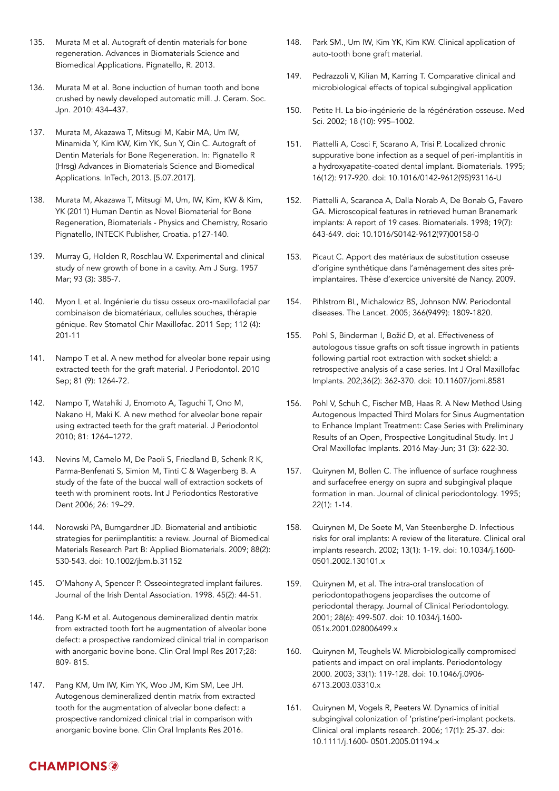- 135. Murata M et al. Autograft of dentin materials for bone regeneration. Advances in Biomaterials Science and Biomedical Applications. Pignatello, R. 2013.
- 136. Murata M et al. Bone induction of human tooth and bone crushed by newly developed automatic mill. J. Ceram. Soc. Jpn. 2010: 434–437.
- 137. Murata M, Akazawa T, Mitsugi M, Kabir MA, Um IW, Minamida Y, Kim KW, Kim YK, Sun Y, Qin C. Autograft of Dentin Materials for Bone Regeneration. In: Pignatello R (Hrsg) Advances in Biomaterials Science and Biomedical Applications. InTech, 2013. [5.07.2017].
- 138. Murata M, Akazawa T, Mitsugi M, Um, IW, Kim, KW & Kim, YK (2011) Human Dentin as Novel Biomaterial for Bone Regeneration, Biomaterials - Physics and Chemistry, Rosario Pignatello, INTECK Publisher, Croatia. p127-140.
- 139. Murray G, Holden R, Roschlau W. Experimental and clinical study of new growth of bone in a cavity. Am J Surg. 1957 Mar; 93 (3): 385-7.
- 140. Myon L et al. Ingénierie du tissu osseux oro-maxillofacial par combinaison de biomatériaux, cellules souches, thérapie génique. Rev Stomatol Chir Maxillofac. 2011 Sep; 112 (4): 201-11
- 141. Nampo T et al. A new method for alveolar bone repair using extracted teeth for the graft material. J Periodontol. 2010 Sep; 81 (9): 1264-72.
- 142. Nampo T, Watahiki J, Enomoto A, Taguchi T, Ono M, Nakano H, Maki K. A new method for alveolar bone repair using extracted teeth for the graft material. J Periodontol 2010; 81: 1264–1272.
- 143. Nevins M, Camelo M, De Paoli S, Friedland B, Schenk R K, Parma-Benfenati S, Simion M, Tinti C & Wagenberg B. A study of the fate of the buccal wall of extraction sockets of teeth with prominent roots. Int J Periodontics Restorative Dent 2006; 26: 19–29.
- 144. Norowski PA, Bumgardner JD. Biomaterial and antibiotic strategies for periimplantitis: a review. Journal of Biomedical Materials Research Part B: Applied Biomaterials. 2009; 88(2): 530-543. doi: 10.1002/jbm.b.31152
- 145. O'Mahony A, Spencer P. Osseointegrated implant failures. Journal of the Irish Dental Association. 1998. 45(2): 44-51.
- 146. Pang K-M et al. Autogenous demineralized dentin matrix from extracted tooth fort he augmentation of alveolar bone defect: a prospective randomized clinical trial in comparison with anorganic bovine bone. Clin Oral Impl Res 2017;28: 809- 815.
- 147. Pang KM, Um IW, Kim YK, Woo JM, Kim SM, Lee JH. Autogenous demineralized dentin matrix from extracted tooth for the augmentation of alveolar bone defect: a prospective randomized clinical trial in comparison with anorganic bovine bone. Clin Oral Implants Res 2016.
- 148. Park SM., Um IW, Kim YK, Kim KW. Clinical application of auto-tooth bone graft material.
- 149. Pedrazzoli V, Kilian M, Karring T. Comparative clinical and microbiological effects of topical subgingival application
- 150. Petite H. La bio-ingénierie de la régénération osseuse. Med Sci. 2002; 18 (10): 995–1002.
- 151. Piattelli A, Cosci F, Scarano A, Trisi P. Localized chronic suppurative bone infection as a sequel of peri-implantitis in a hydroxyapatite-coated dental implant. Biomaterials. 1995; 16(12): 917-920. doi: 10.1016/0142-9612(95)93116-U
- 152. Piattelli A, Scaranoa A, Dalla Norab A, De Bonab G, Favero GA. Microscopical features in retrieved human Branemark implants: A report of 19 cases. Biomaterials. 1998; 19(7): 643-649. doi: 10.1016/S0142-9612(97)00158-0
- 153. Picaut C. Apport des matériaux de substitution osseuse d'origine synthétique dans l'aménagement des sites préimplantaires. Thèse d'exercice université de Nancy. 2009.
- 154. Pihlstrom BL, Michalowicz BS, Johnson NW. Periodontal diseases. The Lancet. 2005; 366(9499): 1809-1820.
- 155. Pohl S, Binderman I, Božić D, et al. Effectiveness of autologous tissue grafts on soft tissue ingrowth in patients following partial root extraction with socket shield: a retrospective analysis of a case series. Int J Oral Maxillofac Implants. 202;36(2): 362-370. doi: 10.11607/jomi.8581
- 156. Pohl V, Schuh C, Fischer MB, Haas R. A New Method Using Autogenous Impacted Third Molars for Sinus Augmentation to Enhance Implant Treatment: Case Series with Preliminary Results of an Open, Prospective Longitudinal Study. Int J Oral Maxillofac Implants. 2016 May-Jun; 31 (3): 622-30.
- 157. Quirynen M, Bollen C. The influence of surface roughness and surfacefree energy on supra and subgingival plaque formation in man. Journal of clinical periodontology. 1995; 22(1): 1-14.
- 158. Quirynen M, De Soete M, Van Steenberghe D. Infectious risks for oral implants: A review of the literature. Clinical oral implants research. 2002; 13(1): 1-19. doi: 10.1034/j.1600- 0501.2002.130101.x
- 159. Quirynen M, et al. The intra-oral translocation of periodontopathogens jeopardises the outcome of periodontal therapy. Journal of Clinical Periodontology. 2001; 28(6): 499-507. doi: 10.1034/j.1600- 051x.2001.028006499.x
- 160. Quirynen M, Teughels W. Microbiologically compromised patients and impact on oral implants. Periodontology 2000. 2003; 33(1): 119-128. doi: 10.1046/j.0906- 6713.2003.03310.x
- 161. Quirynen M, Vogels R, Peeters W. Dynamics of initial subgingival colonization of 'pristine'peri-implant pockets. Clinical oral implants research. 2006; 17(1): 25-37. doi: 10.1111/j.1600- 0501.2005.01194.x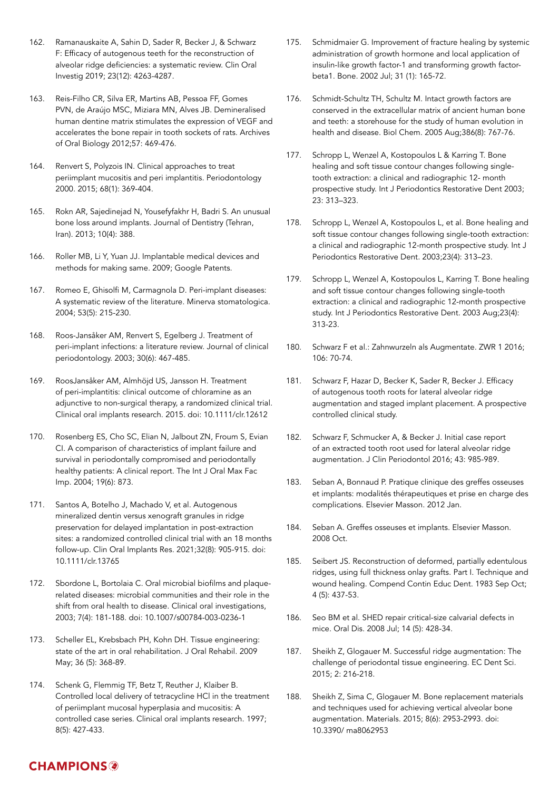- 162. Ramanauskaite A, Sahin D, Sader R, Becker J, & Schwarz F: Efficacy of autogenous teeth for the reconstruction of alveolar ridge deficiencies: a systematic review. Clin Oral Investig 2019; 23(12): 4263-4287.
- 163. Reis-Filho CR, Silva ER, Martins AB, Pessoa FF, Gomes PVN, de Araújo MSC, Miziara MN, Alves JB. Demineralised human dentine matrix stimulates the expression of VEGF and accelerates the bone repair in tooth sockets of rats. Archives of Oral Biology 2012;57: 469-476.
- 164. Renvert S, Polyzois IN. Clinical approaches to treat periimplant mucositis and peri implantitis. Periodontology 2000. 2015; 68(1): 369-404.
- 165. Rokn AR, Sajedinejad N, Yousefyfakhr H, Badri S. An unusual bone loss around implants. Journal of Dentistry (Tehran, Iran). 2013; 10(4): 388.
- 166. Roller MB, Li Y, Yuan JJ. Implantable medical devices and methods for making same. 2009; Google Patents.
- 167. Romeo E, Ghisolfi M, Carmagnola D. Peri-implant diseases: A systematic review of the literature. Minerva stomatologica. 2004; 53(5): 215-230.
- 168. Roos-Jansåker AM, Renvert S, Egelberg J. Treatment of peri-implant infections: a literature review. Journal of clinical periodontology. 2003; 30(6): 467-485.
- 169. RoosJansåker AM, Almhöjd US, Jansson H. Treatment of peri-implantitis: clinical outcome of chloramine as an adjunctive to non-surgical therapy, a randomized clinical trial. Clinical oral implants research. 2015. doi: 10.1111/clr.12612
- 170. Rosenberg ES, Cho SC, Elian N, Jalbout ZN, Froum S, Evian CI. A comparison of characteristics of implant failure and survival in periodontally compromised and periodontally healthy patients: A clinical report. The Int J Oral Max Fac Imp. 2004; 19(6): 873.
- 171. Santos A, Botelho J, Machado V, et al. Autogenous mineralized dentin versus xenograft granules in ridge preservation for delayed implantation in post-extraction sites: a randomized controlled clinical trial with an 18 months follow-up. Clin Oral Implants Res. 2021;32(8): 905-915. doi: 10.1111/clr.13765
- 172. Sbordone L, Bortolaia C. Oral microbial biofilms and plaquerelated diseases: microbial communities and their role in the shift from oral health to disease. Clinical oral investigations, 2003; 7(4): 181-188. doi: 10.1007/s00784-003-0236-1
- 173. Scheller EL, Krebsbach PH, Kohn DH. Tissue engineering: state of the art in oral rehabilitation. J Oral Rehabil. 2009 May; 36 (5): 368-89.
- 174. Schenk G, Flemmig TF, Betz T, Reuther J, Klaiber B. Controlled local delivery of tetracycline HCl in the treatment of periimplant mucosal hyperplasia and mucositis: A controlled case series. Clinical oral implants research. 1997; 8(5): 427-433.
- 175. Schmidmaier G. Improvement of fracture healing by systemic administration of growth hormone and local application of insulin-like growth factor-1 and transforming growth factorbeta1. Bone. 2002 Jul; 31 (1): 165-72.
- 176. Schmidt-Schultz TH, Schultz M. Intact growth factors are conserved in the extracellular matrix of ancient human bone and teeth: a storehouse for the study of human evolution in health and disease. Biol Chem. 2005 Aug;386(8): 767-76.
- 177. Schropp L, Wenzel A, Kostopoulos L & Karring T. Bone healing and soft tissue contour changes following singletooth extraction: a clinical and radiographic 12- month prospective study. Int J Periodontics Restorative Dent 2003; 23: 313–323.
- 178. Schropp L, Wenzel A, Kostopoulos L, et al. Bone healing and soft tissue contour changes following single-tooth extraction: a clinical and radiographic 12-month prospective study. Int J Periodontics Restorative Dent. 2003;23(4): 313–23.
- 179. Schropp L, Wenzel A, Kostopoulos L, Karring T. Bone healing and soft tissue contour changes following single-tooth extraction: a clinical and radiographic 12-month prospective study. Int J Periodontics Restorative Dent. 2003 Aug;23(4): 313-23.
- 180. Schwarz F et al.: Zahnwurzeln als Augmentate. ZWR 1 2016; 106: 70-74.
- 181. Schwarz F, Hazar D, Becker K, Sader R, Becker J. Efficacy of autogenous tooth roots for lateral alveolar ridge augmentation and staged implant placement. A prospective controlled clinical study.
- 182. Schwarz F, Schmucker A, & Becker J. Initial case report of an extracted tooth root used for lateral alveolar ridge augmentation. J Clin Periodontol 2016; 43: 985-989.
- 183. Seban A, Bonnaud P. Pratique clinique des greffes osseuses et implants: modalités thérapeutiques et prise en charge des complications. Elsevier Masson. 2012 Jan.
- 184. Seban A. Greffes osseuses et implants. Elsevier Masson. 2008 Oct.
- 185. Seibert JS. Reconstruction of deformed, partially edentulous ridges, using full thickness onlay grafts. Part I. Technique and wound healing. Compend Contin Educ Dent. 1983 Sep Oct; 4 (5): 437-53.
- 186. Seo BM et al. SHED repair critical-size calvarial defects in mice. Oral Dis. 2008 Jul; 14 (5): 428-34.
- 187. Sheikh Z, Glogauer M. Successful ridge augmentation: The challenge of periodontal tissue engineering. EC Dent Sci. 2015; 2: 216-218.
- 188. Sheikh Z, Sima C, Glogauer M. Bone replacement materials and techniques used for achieving vertical alveolar bone augmentation. Materials. 2015; 8(6): 2953-2993. doi: 10.3390/ ma8062953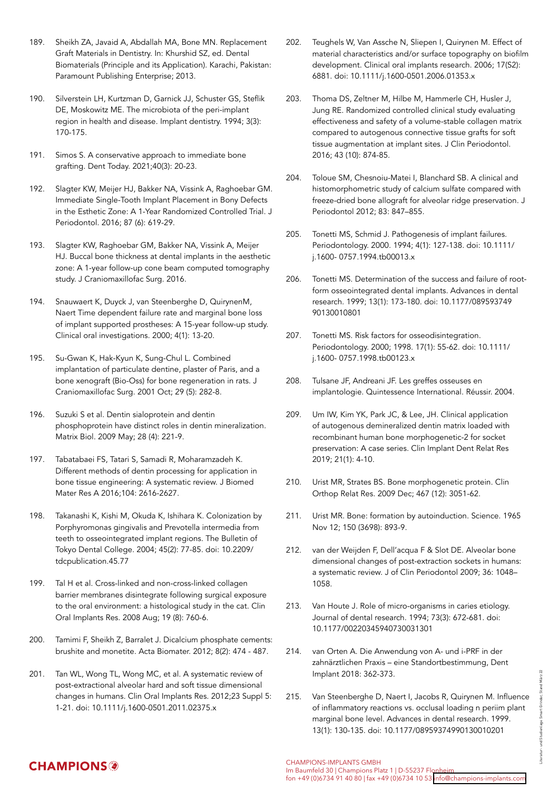- 189. Sheikh ZA, Javaid A, Abdallah MA, Bone MN. Replacement Graft Materials in Dentistry. In: Khurshid SZ, ed. Dental Biomaterials (Principle and its Application). Karachi, Pakistan: Paramount Publishing Enterprise; 2013.
- 190. Silverstein LH, Kurtzman D, Garnick JJ, Schuster GS, Steflik DE, Moskowitz ME. The microbiota of the peri-implant region in health and disease. Implant dentistry. 1994; 3(3): 170-175.
- 191. Simos S. A conservative approach to immediate bone grafting. Dent Today. 2021;40(3): 20-23.
- 192. Slagter KW, Meijer HJ, Bakker NA, Vissink A, Raghoebar GM. Immediate Single-Tooth Implant Placement in Bony Defects in the Esthetic Zone: A 1-Year Randomized Controlled Trial. J Periodontol. 2016; 87 (6): 619-29.
- 193. Slagter KW, Raghoebar GM, Bakker NA, Vissink A, Meijer HJ. Buccal bone thickness at dental implants in the aesthetic zone: A 1-year follow-up cone beam computed tomography study. J Craniomaxillofac Surg. 2016.
- 194. Snauwaert K, Duyck J, van Steenberghe D, QuirynenM, Naert Time dependent failure rate and marginal bone loss of implant supported prostheses: A 15-year follow-up study. Clinical oral investigations. 2000; 4(1): 13-20.
- 195. Su-Gwan K, Hak-Kyun K, Sung-Chul L. Combined implantation of particulate dentine, plaster of Paris, and a bone xenograft (Bio-Oss) for bone regeneration in rats. J Craniomaxillofac Surg. 2001 Oct; 29 (5): 282-8.
- 196. Suzuki S et al. Dentin sialoprotein and dentin phosphoprotein have distinct roles in dentin mineralization. Matrix Biol. 2009 May; 28 (4): 221-9.
- 197. Tabatabaei FS, Tatari S, Samadi R, Moharamzadeh K. Different methods of dentin processing for application in bone tissue engineering: A systematic review. J Biomed Mater Res A 2016;104: 2616-2627.
- 198. Takanashi K, Kishi M, Okuda K, Ishihara K. Colonization by Porphyromonas gingivalis and Prevotella intermedia from teeth to osseointegrated implant regions. The Bulletin of Tokyo Dental College. 2004; 45(2): 77-85. doi: 10.2209/ tdcpublication.45.77
- 199. Tal H et al. Cross-linked and non-cross-linked collagen barrier membranes disintegrate following surgical exposure to the oral environment: a histological study in the cat. Clin Oral Implants Res. 2008 Aug; 19 (8): 760-6.
- 200. Tamimi F, Sheikh Z, Barralet J. Dicalcium phosphate cements: brushite and monetite. Acta Biomater. 2012; 8(2): 474 - 487.
- 201. Tan WL, Wong TL, Wong MC, et al. A systematic review of post-extractional alveolar hard and soft tissue dimensional changes in humans. Clin Oral Implants Res. 2012;23 Suppl 5: 1-21. doi: 10.1111/j.1600-0501.2011.02375.x
- 202. Teughels W, Van Assche N, Sliepen I, Quirynen M. Effect of material characteristics and/or surface topography on biofilm development. Clinical oral implants research. 2006; 17(S2): 6881. doi: 10.1111/j.1600-0501.2006.01353.x
- 203. Thoma DS, Zeltner M, Hilbe M, Hammerle CH, Husler J, Jung RE. Randomized controlled clinical study evaluating effectiveness and safety of a volume-stable collagen matrix compared to autogenous connective tissue grafts for soft tissue augmentation at implant sites. J Clin Periodontol. 2016; 43 (10): 874-85.
- 204. Toloue SM, Chesnoiu-Matei I, Blanchard SB. A clinical and histomorphometric study of calcium sulfate compared with freeze-dried bone allograft for alveolar ridge preservation. J Periodontol 2012; 83: 847–855.
- 205. Tonetti MS, Schmid J. Pathogenesis of implant failures. Periodontology. 2000. 1994; 4(1): 127-138. doi: 10.1111/ j.1600- 0757.1994.tb00013.x
- 206. Tonetti MS. Determination of the success and failure of rootform osseointegrated dental implants. Advances in dental research. 1999; 13(1): 173-180. doi: 10.1177/089593749 90130010801
- 207. Tonetti MS. Risk factors for osseodisintegration. Periodontology. 2000; 1998. 17(1): 55-62. doi: 10.1111/ j.1600- 0757.1998.tb00123.x
- 208. Tulsane JF, Andreani JF. Les greffes osseuses en implantologie. Quintessence International. Réussir. 2004.
- 209. Um IW, Kim YK, Park JC, & Lee, JH. Clinical application of autogenous demineralized dentin matrix loaded with recombinant human bone morphogenetic-2 for socket preservation: A case series. Clin Implant Dent Relat Res 2019; 21(1): 4-10.
- 210. Urist MR, Strates BS. Bone morphogenetic protein. Clin Orthop Relat Res. 2009 Dec; 467 (12): 3051-62.
- 211. Urist MR. Bone: formation by autoinduction. Science. 1965 Nov 12; 150 (3698): 893-9.
- 212. van der Weijden F, Dell'acqua F & Slot DE. Alveolar bone dimensional changes of post-extraction sockets in humans: a systematic review. J of Clin Periodontol 2009; 36: 1048– 1058.
- 213. Van Houte J. Role of micro-organisms in caries etiology. Journal of dental research. 1994; 73(3): 672-681. doi: 10.1177/00220345940730031301
- 214. van Orten A. Die Anwendung von A- und i-PRF in der zahnärztlichen Praxis – eine Standortbestimmung, Dent Implant 2018: 362-373.
- 215. Van Steenberghe D, Naert I, Jacobs R, Quirynen M. Influence of inflammatory reactions vs. occlusal loading n periim plant marginal bone level. Advances in dental research. 1999. 13(1): 130-135. doi: 10.1177/08959374990130010201